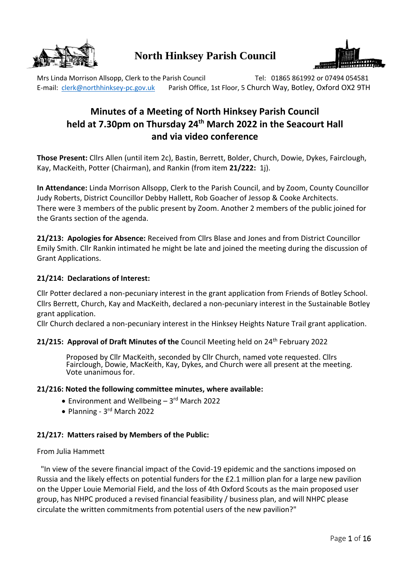

# **North Hinksey Parish Council**



Mrs Linda Morrison Allsopp, Clerk to the Parish Council Tel: 01865 861992 or 07494 054581 E-mail: [clerk@northhinksey-pc.gov.uk](mailto:clerk@northhinksey-pc.gov.uk) Parish Office, 1st Floor, 5 Church Way, Botley, Oxford OX2 9TH

# **Minutes of a Meeting of North Hinksey Parish Council held at 7.30pm on Thursday 24 th March 2022 in the Seacourt Hall and via video conference**

**Those Present:** Cllrs Allen (until item 2c), Bastin, Berrett, Bolder, Church, Dowie, Dykes, Fairclough, Kay, MacKeith, Potter (Chairman), and Rankin (from item **21/222:** 1j).

**In Attendance:** Linda Morrison Allsopp, Clerk to the Parish Council, and by Zoom, County Councillor Judy Roberts, District Councillor Debby Hallett, Rob Goacher of Jessop & Cooke Architects. There were 3 members of the public present by Zoom. Another 2 members of the public joined for the Grants section of the agenda.

**21/213: Apologies for Absence:** Received from Cllrs Blase and Jones and from District Councillor Emily Smith. Cllr Rankin intimated he might be late and joined the meeting during the discussion of Grant Applications.

# **21/214: Declarations of Interest:**

Cllr Potter declared a non-pecuniary interest in the grant application from Friends of Botley School. Cllrs Berrett, Church, Kay and MacKeith, declared a non-pecuniary interest in the Sustainable Botley grant application.

Cllr Church declared a non-pecuniary interest in the Hinksey Heights Nature Trail grant application.

# **21/215: Approval of Draft Minutes of the Council Meeting held on 24<sup>th</sup> February 2022**

Proposed by Cllr MacKeith, seconded by Cllr Church, named vote requested. Cllrs Fairclough, Dowie, MacKeith, Kay, Dykes, and Church were all present at the meeting. Vote unanimous for.

## **21/216: Noted the following committee minutes, where available:**

- Environment and Wellbeing 3rd March 2022
- Planning 3<sup>rd</sup> March 2022

## **21/217: Matters raised by Members of the Public:**

#### From Julia Hammett

"In view of the severe financial impact of the Covid-19 epidemic and the sanctions imposed on Russia and the likely effects on potential funders for the £2.1 million plan for a large new pavilion on the Upper Louie Memorial Field, and the loss of 4th Oxford Scouts as the main proposed user group, has NHPC produced a revised financial feasibility / business plan, and will NHPC please circulate the written commitments from potential users of the new pavilion?"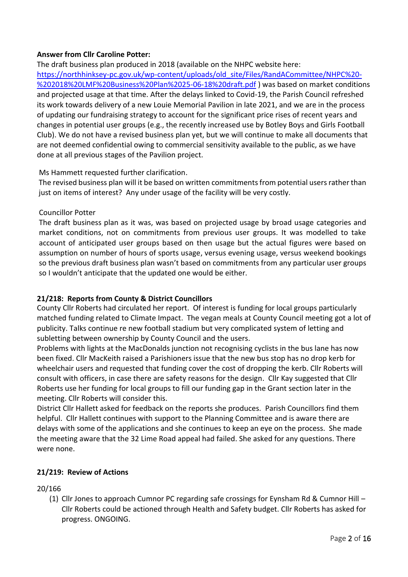# **Answer from Cllr Caroline Potter:**

The draft business plan produced in 2018 (available on the NHPC website here: [https://northhinksey-pc.gov.uk/wp-content/uploads/old\\_site/Files/RandACommittee/NHPC%20-](https://northhinksey-pc.gov.uk/wp-content/uploads/old_site/Files/RandACommittee/NHPC%20-%202018%20LMF%20Business%20Plan%2025-06-18%20draft.pdf) [%202018%20LMF%20Business%20Plan%2025-06-18%20draft.pdf](https://northhinksey-pc.gov.uk/wp-content/uploads/old_site/Files/RandACommittee/NHPC%20-%202018%20LMF%20Business%20Plan%2025-06-18%20draft.pdf) ) was based on market conditions and projected usage at that time. After the delays linked to Covid-19, the Parish Council refreshed its work towards delivery of a new Louie Memorial Pavilion in late 2021, and we are in the process of updating our fundraising strategy to account for the significant price rises of recent years and changes in potential user groups (e.g., the recently increased use by Botley Boys and Girls Football Club). We do not have a revised business plan yet, but we will continue to make all documents that are not deemed confidential owing to commercial sensitivity available to the public, as we have done at all previous stages of the Pavilion project.

# Ms Hammett requested further clarification.

The revised business plan will it be based on written commitments from potential users rather than just on items of interest? Any under usage of the facility will be very costly.

# Councillor Potter

The draft business plan as it was, was based on projected usage by broad usage categories and market conditions, not on commitments from previous user groups. It was modelled to take account of anticipated user groups based on then usage but the actual figures were based on assumption on number of hours of sports usage, versus evening usage, versus weekend bookings so the previous draft business plan wasn't based on commitments from any particular user groups so I wouldn't anticipate that the updated one would be either.

# **21/218: Reports from County & District Councillors**

County Cllr Roberts had circulated her report. Of interest is funding for local groups particularly matched funding related to Climate Impact. The vegan meals at County Council meeting got a lot of publicity. Talks continue re new football stadium but very complicated system of letting and subletting between ownership by County Council and the users.

Problems with lights at the MacDonalds junction not recognising cyclists in the bus lane has now been fixed. Cllr MacKeith raised a Parishioners issue that the new bus stop has no drop kerb for wheelchair users and requested that funding cover the cost of dropping the kerb. Cllr Roberts will consult with officers, in case there are safety reasons for the design. Cllr Kay suggested that Cllr Roberts use her funding for local groups to fill our funding gap in the Grant section later in the meeting. Cllr Roberts will consider this.

District Cllr Hallett asked for feedback on the reports she produces. Parish Councillors find them helpful. Cllr Hallett continues with support to the Planning Committee and is aware there are delays with some of the applications and she continues to keep an eye on the process. She made the meeting aware that the 32 Lime Road appeal had failed. She asked for any questions. There were none.

# **21/219: Review of Actions**

20/166

(1) Cllr Jones to approach Cumnor PC regarding safe crossings for Eynsham Rd & Cumnor Hill – Cllr Roberts could be actioned through Health and Safety budget. Cllr Roberts has asked for progress. ONGOING.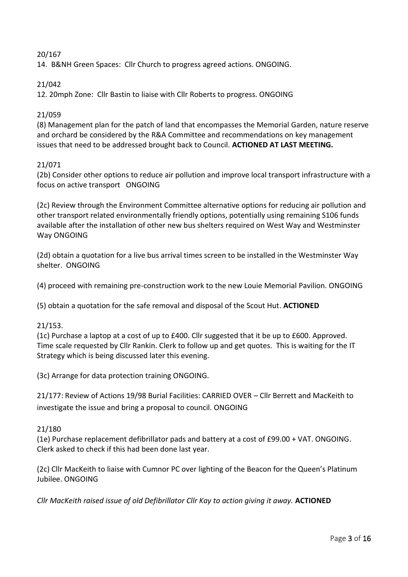# 20/167

14. B&NH Green Spaces: Cllr Church to progress agreed actions. ONGOING.

# 21/042

12. 20mph Zone: Cllr Bastin to liaise with Cllr Roberts to progress. ONGOING

# 21/059

(8) Management plan for the patch of land that encompasses the Memorial Garden, nature reserve and orchard be considered by the R&A Committee and recommendations on key management issues that need to be addressed brought back to Council. **ACTIONED AT LAST MEETING.**

# 21/071

(2b) Consider other options to reduce air pollution and improve local transport infrastructure with a focus on active transport ONGOING

(2c) Review through the Environment Committee alternative options for reducing air pollution and other transport related environmentally friendly options, potentially using remaining S106 funds available after the installation of other new bus shelters required on West Way and Westminster Way ONGOING

(2d) obtain a quotation for a live bus arrival times screen to be installed in the Westminster Way shelter. ONGOING

(4) proceed with remaining pre-construction work to the new Louie Memorial Pavilion. ONGOING

(5) obtain a quotation for the safe removal and disposal of the Scout Hut. **ACTIONED**

# 21/153.

(1c) Purchase a laptop at a cost of up to £400. Cllr suggested that it be up to £600. Approved. Time scale requested by Cllr Rankin. Clerk to follow up and get quotes. This is waiting for the IT Strategy which is being discussed later this evening.

(3c) Arrange for data protection training ONGOING.

21/177: Review of Actions 19/98 Burial Facilities: CARRIED OVER – Cllr Berrett and MacKeith to investigate the issue and bring a proposal to council. ONGOING

# 21/180

(1e) Purchase replacement defibrillator pads and battery at a cost of £99.00 + VAT. ONGOING. Clerk asked to check if this had been done last year.

(2c) Cllr MacKeith to liaise with Cumnor PC over lighting of the Beacon for the Queen's Platinum Jubilee. ONGOING

*Cllr MacKeith raised issue of old Defibrillator Cllr Kay to action giving it away.* **ACTIONED**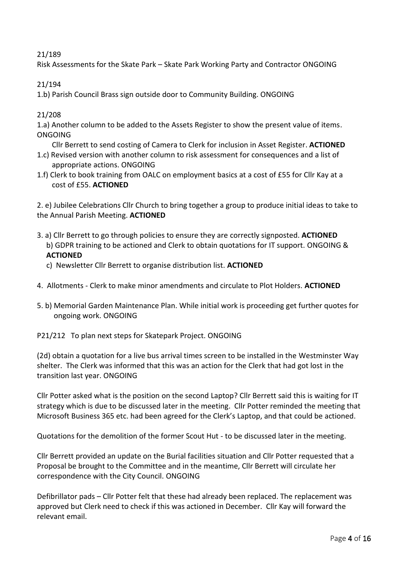# 21/189

Risk Assessments for the Skate Park – Skate Park Working Party and Contractor ONGOING

21/194

1.b) Parish Council Brass sign outside door to Community Building. ONGOING

21/208

1.a) Another column to be added to the Assets Register to show the present value of items. ONGOING

- Cllr Berrett to send costing of Camera to Clerk for inclusion in Asset Register. **ACTIONED**
- 1.c) Revised version with another column to risk assessment for consequences and a list of appropriate actions. ONGOING
- 1.f) Clerk to book training from OALC on employment basics at a cost of £55 for Cllr Kay at a cost of £55. **ACTIONED**

2. e) Jubilee Celebrations Cllr Church to bring together a group to produce initial ideas to take to the Annual Parish Meeting. **ACTIONED**

- 3. a) Cllr Berrett to go through policies to ensure they are correctly signposted. **ACTIONED** b) GDPR training to be actioned and Clerk to obtain quotations for IT support. ONGOING & **ACTIONED**
	- c) Newsletter Cllr Berrett to organise distribution list. **ACTIONED**
- 4. Allotments Clerk to make minor amendments and circulate to Plot Holders. **ACTIONED**
- 5. b) Memorial Garden Maintenance Plan. While initial work is proceeding get further quotes for ongoing work. ONGOING

P21/212 To plan next steps for Skatepark Project. ONGOING

(2d) obtain a quotation for a live bus arrival times screen to be installed in the Westminster Way shelter. The Clerk was informed that this was an action for the Clerk that had got lost in the transition last year. ONGOING

Cllr Potter asked what is the position on the second Laptop? Cllr Berrett said this is waiting for IT strategy which is due to be discussed later in the meeting. Cllr Potter reminded the meeting that Microsoft Business 365 etc. had been agreed for the Clerk's Laptop, and that could be actioned.

Quotations for the demolition of the former Scout Hut - to be discussed later in the meeting.

Cllr Berrett provided an update on the Burial facilities situation and Cllr Potter requested that a Proposal be brought to the Committee and in the meantime, Cllr Berrett will circulate her correspondence with the City Council. ONGOING

Defibrillator pads – Cllr Potter felt that these had already been replaced. The replacement was approved but Clerk need to check if this was actioned in December. Cllr Kay will forward the relevant email.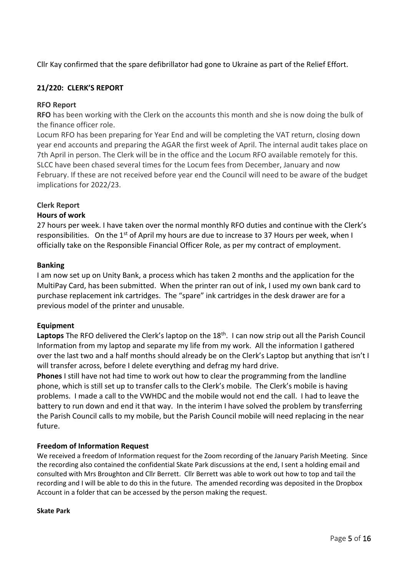Cllr Kay confirmed that the spare defibrillator had gone to Ukraine as part of the Relief Effort.

# **21/220: CLERK'S REPORT**

## **RFO Report**

**RFO** has been working with the Clerk on the accounts this month and she is now doing the bulk of the finance officer role.

Locum RFO has been preparing for Year End and will be completing the VAT return, closing down year end accounts and preparing the AGAR the first week of April. The internal audit takes place on 7th April in person. The Clerk will be in the office and the Locum RFO available remotely for this. SLCC have been chased several times for the Locum fees from December, January and now February. If these are not received before year end the Council will need to be aware of the budget implications for 2022/23.

# **Clerk Report**

# **Hours of work**

27 hours per week. I have taken over the normal monthly RFO duties and continue with the Clerk's responsibilities. On the 1<sup>st</sup> of April my hours are due to increase to 37 Hours per week, when I officially take on the Responsible Financial Officer Role, as per my contract of employment.

## **Banking**

I am now set up on Unity Bank, a process which has taken 2 months and the application for the MultiPay Card, has been submitted. When the printer ran out of ink, I used my own bank card to purchase replacement ink cartridges. The "spare" ink cartridges in the desk drawer are for a previous model of the printer and unusable.

## **Equipment**

Laptops The RFO delivered the Clerk's laptop on the 18<sup>th</sup>. I can now strip out all the Parish Council Information from my laptop and separate my life from my work. All the information I gathered over the last two and a half months should already be on the Clerk's Laptop but anything that isn't I will transfer across, before I delete everything and defrag my hard drive.

**Phones** I still have not had time to work out how to clear the programming from the landline phone, which is still set up to transfer calls to the Clerk's mobile. The Clerk's mobile is having problems. I made a call to the VWHDC and the mobile would not end the call. I had to leave the battery to run down and end it that way. In the interim I have solved the problem by transferring the Parish Council calls to my mobile, but the Parish Council mobile will need replacing in the near future.

## **Freedom of Information Request**

We received a freedom of Information request for the Zoom recording of the January Parish Meeting. Since the recording also contained the confidential Skate Park discussions at the end, I sent a holding email and consulted with Mrs Broughton and Cllr Berrett. Cllr Berrett was able to work out how to top and tail the recording and I will be able to do this in the future. The amended recording was deposited in the Dropbox Account in a folder that can be accessed by the person making the request.

#### **Skate Park**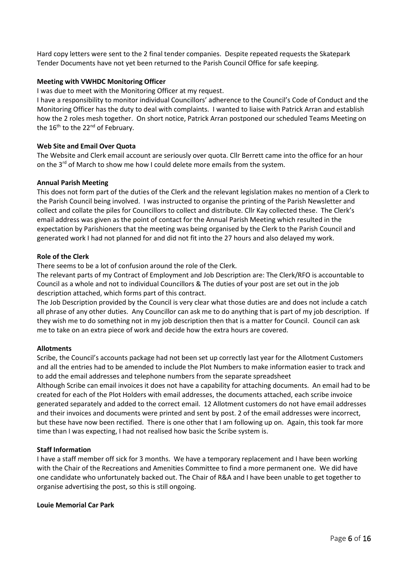Hard copy letters were sent to the 2 final tender companies. Despite repeated requests the Skatepark Tender Documents have not yet been returned to the Parish Council Office for safe keeping.

#### **Meeting with VWHDC Monitoring Officer**

I was due to meet with the Monitoring Officer at my request.

I have a responsibility to monitor individual Councillors' adherence to the Council's Code of Conduct and the Monitoring Officer has the duty to deal with complaints. I wanted to liaise with Patrick Arran and establish how the 2 roles mesh together. On short notice, Patrick Arran postponed our scheduled Teams Meeting on the 16<sup>th</sup> to the 22<sup>nd</sup> of February.

#### **Web Site and Email Over Quota**

The Website and Clerk email account are seriously over quota. Cllr Berrett came into the office for an hour on the  $3<sup>rd</sup>$  of March to show me how I could delete more emails from the system.

#### **Annual Parish Meeting**

This does not form part of the duties of the Clerk and the relevant legislation makes no mention of a Clerk to the Parish Council being involved. I was instructed to organise the printing of the Parish Newsletter and collect and collate the piles for Councillors to collect and distribute. Cllr Kay collected these. The Clerk's email address was given as the point of contact for the Annual Parish Meeting which resulted in the expectation by Parishioners that the meeting was being organised by the Clerk to the Parish Council and generated work I had not planned for and did not fit into the 27 hours and also delayed my work.

#### **Role of the Clerk**

There seems to be a lot of confusion around the role of the Clerk.

The relevant parts of my Contract of Employment and Job Description are: The Clerk/RFO is accountable to Council as a whole and not to individual Councillors & The duties of your post are set out in the job description attached, which forms part of this contract.

The Job Description provided by the Council is very clear what those duties are and does not include a catch all phrase of any other duties. Any Councillor can ask me to do anything that is part of my job description. If they wish me to do something not in my job description then that is a matter for Council. Council can ask me to take on an extra piece of work and decide how the extra hours are covered.

#### **Allotments**

Scribe, the Council's accounts package had not been set up correctly last year for the Allotment Customers and all the entries had to be amended to include the Plot Numbers to make information easier to track and to add the email addresses and telephone numbers from the separate spreadsheet

Although Scribe can email invoices it does not have a capability for attaching documents. An email had to be created for each of the Plot Holders with email addresses, the documents attached, each scribe invoice generated separately and added to the correct email. 12 Allotment customers do not have email addresses and their invoices and documents were printed and sent by post. 2 of the email addresses were incorrect, but these have now been rectified. There is one other that I am following up on. Again, this took far more time than I was expecting, I had not realised how basic the Scribe system is.

#### **Staff Information**

I have a staff member off sick for 3 months. We have a temporary replacement and I have been working with the Chair of the Recreations and Amenities Committee to find a more permanent one. We did have one candidate who unfortunately backed out. The Chair of R&A and I have been unable to get together to organise advertising the post, so this is still ongoing.

#### **Louie Memorial Car Park**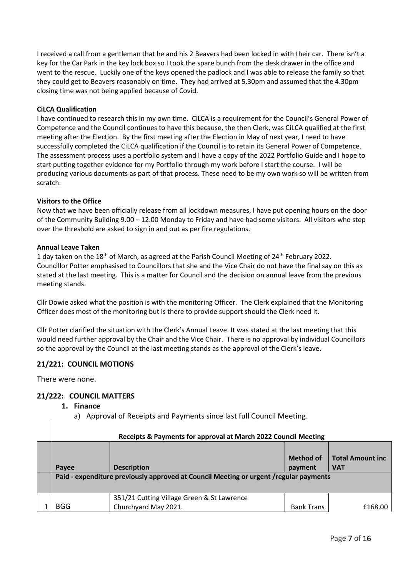I received a call from a gentleman that he and his 2 Beavers had been locked in with their car. There isn't a key for the Car Park in the key lock box so I took the spare bunch from the desk drawer in the office and went to the rescue. Luckily one of the keys opened the padlock and I was able to release the family so that they could get to Beavers reasonably on time. They had arrived at 5.30pm and assumed that the 4.30pm closing time was not being applied because of Covid.

### **CiLCA Qualification**

I have continued to research this in my own time. CiLCA is a requirement for the Council's General Power of Competence and the Council continues to have this because, the then Clerk, was CiLCA qualified at the first meeting after the Election. By the first meeting after the Election in May of next year, I need to have successfully completed the CiLCA qualification if the Council is to retain its General Power of Competence. The assessment process uses a portfolio system and I have a copy of the 2022 Portfolio Guide and I hope to start putting together evidence for my Portfolio through my work before I start the course. I will be producing various documents as part of that process. These need to be my own work so will be written from scratch.

#### **Visitors to the Office**

Now that we have been officially release from all lockdown measures, I have put opening hours on the door of the Community Building 9.00 – 12.00 Monday to Friday and have had some visitors. All visitors who step over the threshold are asked to sign in and out as per fire regulations.

#### **Annual Leave Taken**

1 day taken on the 18<sup>th</sup> of March, as agreed at the Parish Council Meeting of 24<sup>th</sup> February 2022. Councillor Potter emphasised to Councillors that she and the Vice Chair do not have the final say on this as stated at the last meeting. This is a matter for Council and the decision on annual leave from the previous meeting stands.

Cllr Dowie asked what the position is with the monitoring Officer. The Clerk explained that the Monitoring Officer does most of the monitoring but is there to provide support should the Clerk need it.

Cllr Potter clarified the situation with the Clerk's Annual Leave. It was stated at the last meeting that this would need further approval by the Chair and the Vice Chair. There is no approval by individual Councillors so the approval by the Council at the last meeting stands as the approval of the Clerk's leave.

## **21/221: COUNCIL MOTIONS**

There were none.

## **21/222: COUNCIL MATTERS**

#### **1. Finance**

a) Approval of Receipts and Payments since last full Council Meeting.

| Receipts & Payments for approval at March 2022 Council Meeting |                                                                                                              |                      |                                       |  |
|----------------------------------------------------------------|--------------------------------------------------------------------------------------------------------------|----------------------|---------------------------------------|--|
| Payee                                                          | <b>Description</b><br>Paid - expenditure previously approved at Council Meeting or urgent / regular payments | Method of<br>payment | <b>Total Amount inc</b><br><b>VAT</b> |  |
|                                                                | 351/21 Cutting Village Green & St Lawrence                                                                   |                      |                                       |  |
| <b>BGG</b>                                                     | Churchyard May 2021.                                                                                         | <b>Bank Trans</b>    | £168.00                               |  |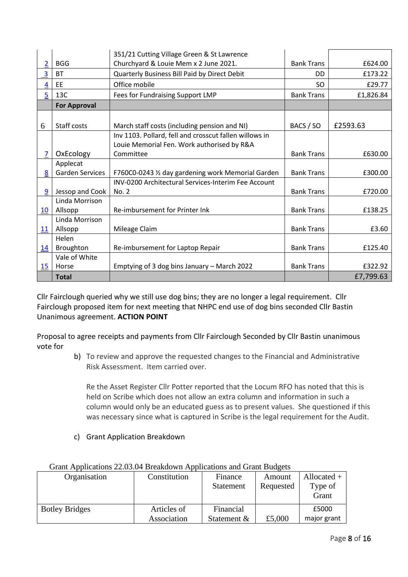|                 |                        | 351/21 Cutting Village Green & St Lawrence                 |                   |           |
|-----------------|------------------------|------------------------------------------------------------|-------------------|-----------|
| $\overline{2}$  | <b>BGG</b>             | Churchyard & Louie Mem x 2 June 2021.                      | <b>Bank Trans</b> | £624.00   |
| 3               | <b>BT</b>              | Quarterly Business Bill Paid by Direct Debit               | <b>DD</b>         | £173.22   |
| $\overline{4}$  | EE                     | Office mobile                                              | <b>SO</b>         | £29.77    |
| $\overline{5}$  | 13C                    | Fees for Fundraising Support LMP                           | <b>Bank Trans</b> | £1,826.84 |
|                 | <b>For Approval</b>    |                                                            |                   |           |
|                 |                        |                                                            |                   |           |
| 6               | Staff costs            | March staff costs (including pension and NI)               | BACS / SO         | £2593.63  |
|                 |                        | Inv 1103. Pollard, fell and crosscut fallen willows in     |                   |           |
|                 |                        | Louie Memorial Fen. Work authorised by R&A                 |                   |           |
| 7               | OxEcology              | Committee                                                  | <b>Bank Trans</b> | £630.00   |
|                 | Applecat               |                                                            |                   |           |
| 8               | <b>Garden Services</b> | F760C0-0243 1/2 day gardening work Memorial Garden         | <b>Bank Trans</b> | £300.00   |
|                 |                        | <b>INV-0200 Architectural Services-Interim Fee Account</b> |                   |           |
| 9               | Jessop and Cook        | No. 2                                                      | <b>Bank Trans</b> | £720.00   |
|                 | Linda Morrison         |                                                            |                   |           |
| 10 <sup>°</sup> | Allsopp                | Re-imbursement for Printer Ink                             | <b>Bank Trans</b> | £138.25   |
|                 | Linda Morrison         |                                                            |                   |           |
| 11              | Allsopp                | Mileage Claim                                              | <b>Bank Trans</b> | £3.60     |
|                 | Helen                  |                                                            |                   |           |
| 14              | Broughton              | Re-imbursement for Laptop Repair                           | <b>Bank Trans</b> | £125.40   |
|                 | Vale of White          |                                                            |                   |           |
| 15              | Horse                  | Emptying of 3 dog bins January - March 2022                | <b>Bank Trans</b> | £322.92   |
|                 | <b>Total</b>           |                                                            |                   | £7,799.63 |

Cllr Fairclough queried why we still use dog bins; they are no longer a legal requirement. Cllr Fairclough proposed item for next meeting that NHPC end use of dog bins seconded Cllr Bastin Unanimous agreement. **ACTION POINT**

Proposal to agree receipts and payments from Cllr Fairclough Seconded by Cllr Bastin unanimous vote for

> b) To review and approve the requested changes to the Financial and Administrative Risk Assessment. Item carried over.

Re the Asset Register Cllr Potter reported that the Locum RFO has noted that this is held on Scribe which does not allow an extra column and information in such a column would only be an educated guess as to present values. She questioned if this was necessary since what is captured in Scribe is the legal requirement for the Audit.

c) Grant Application Breakdown

| Orant Explorations 22.00.0 FDIVANGO WHIT Applications and Orant Daugus |                            |                             |                     |                                   |  |
|------------------------------------------------------------------------|----------------------------|-----------------------------|---------------------|-----------------------------------|--|
| Organisation                                                           | Constitution               | Finance<br><b>Statement</b> | Amount<br>Requested | Allocated $+$<br>Type of<br>Grant |  |
| <b>Botley Bridges</b>                                                  | Articles of<br>Association | Financial<br>Statement &    | £5,000              | £5000<br>major grant              |  |

# Grant Applications 22.03.04 Breakdown Applications and Grant Budgets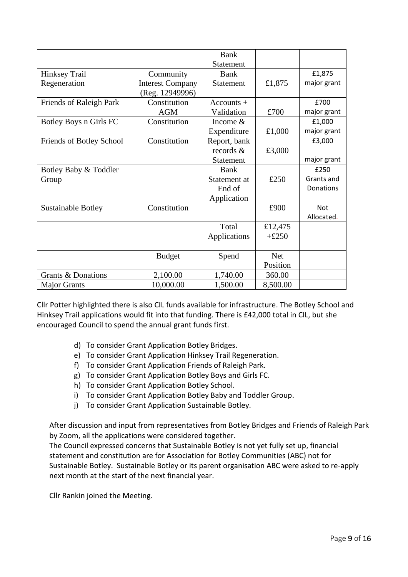|                           |                         | <b>Bank</b>      |            |             |
|---------------------------|-------------------------|------------------|------------|-------------|
|                           |                         | <b>Statement</b> |            |             |
| <b>Hinksey Trail</b>      | Community               | <b>Bank</b>      |            | £1,875      |
| Regeneration              | <b>Interest Company</b> | <b>Statement</b> | £1,875     | major grant |
|                           | (Reg. 12949996)         |                  |            |             |
| Friends of Raleigh Park   | Constitution            | $Accounts +$     |            | £700        |
|                           | <b>AGM</b>              | Validation       | £700       | major grant |
| Botley Boys n Girls FC    | Constitution            | Income $&$       |            | £1,000      |
|                           |                         | Expenditure      | £1,000     | major grant |
| Friends of Botley School  | Constitution            | Report, bank     |            | £3,000      |
|                           |                         | records $\&$     | £3,000     |             |
|                           |                         | <b>Statement</b> |            | major grant |
| Botley Baby & Toddler     |                         | <b>Bank</b>      |            | £250        |
| Group                     |                         | Statement at     | £250       | Grants and  |
|                           |                         | End of           |            | Donations   |
|                           |                         | Application      |            |             |
| <b>Sustainable Botley</b> | Constitution            |                  | £900       | <b>Not</b>  |
|                           |                         |                  |            | Allocated.  |
|                           |                         | Total            | £12,475    |             |
|                           |                         | Applications     | $+£250$    |             |
|                           |                         |                  |            |             |
|                           | <b>Budget</b>           | Spend            | <b>Net</b> |             |
|                           |                         |                  | Position   |             |
| Grants & Donations        | 2,100.00                | 1,740.00         | 360.00     |             |
| <b>Major Grants</b>       | 10,000.00               | 1,500.00         | 8,500.00   |             |

Cllr Potter highlighted there is also CIL funds available for infrastructure. The Botley School and Hinksey Trail applications would fit into that funding. There is £42,000 total in CIL, but she encouraged Council to spend the annual grant funds first.

- d) To consider Grant Application Botley Bridges.
- e) To consider Grant Application Hinksey Trail Regeneration.
- f) To consider Grant Application Friends of Raleigh Park.
- g) To consider Grant Application Botley Boys and Girls FC.
- h) To consider Grant Application Botley School.
- i) To consider Grant Application Botley Baby and Toddler Group.
- j) To consider Grant Application Sustainable Botley.

After discussion and input from representatives from Botley Bridges and Friends of Raleigh Park by Zoom, all the applications were considered together.

The Council expressed concerns that Sustainable Botley is not yet fully set up, financial statement and constitution are for Association for Botley Communities (ABC) not for Sustainable Botley. Sustainable Botley or its parent organisation ABC were asked to re-apply next month at the start of the next financial year.

Cllr Rankin joined the Meeting.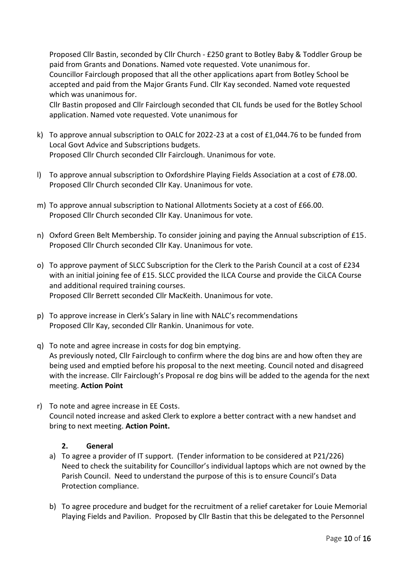Proposed Cllr Bastin, seconded by Cllr Church - £250 grant to Botley Baby & Toddler Group be paid from Grants and Donations. Named vote requested. Vote unanimous for. Councillor Fairclough proposed that all the other applications apart from Botley School be accepted and paid from the Major Grants Fund. Cllr Kay seconded. Named vote requested which was unanimous for.

Cllr Bastin proposed and Cllr Fairclough seconded that CIL funds be used for the Botley School application. Named vote requested. Vote unanimous for

- k) To approve annual subscription to OALC for 2022-23 at a cost of £1,044.76 to be funded from Local Govt Advice and Subscriptions budgets. Proposed Cllr Church seconded Cllr Fairclough. Unanimous for vote.
- l) To approve annual subscription to Oxfordshire Playing Fields Association at a cost of £78.00. Proposed Cllr Church seconded Cllr Kay. Unanimous for vote.
- m) To approve annual subscription to National Allotments Society at a cost of £66.00. Proposed Cllr Church seconded Cllr Kay. Unanimous for vote.
- n) Oxford Green Belt Membership. To consider joining and paying the Annual subscription of £15. Proposed Cllr Church seconded Cllr Kay. Unanimous for vote.
- o) To approve payment of SLCC Subscription for the Clerk to the Parish Council at a cost of £234 with an initial joining fee of £15. SLCC provided the ILCA Course and provide the CiLCA Course and additional required training courses. Proposed Cllr Berrett seconded Cllr MacKeith. Unanimous for vote.
- p) To approve increase in Clerk's Salary in line with NALC's recommendations Proposed Cllr Kay, seconded Cllr Rankin. Unanimous for vote.
- q) To note and agree increase in costs for dog bin emptying. As previously noted, Cllr Fairclough to confirm where the dog bins are and how often they are being used and emptied before his proposal to the next meeting. Council noted and disagreed with the increase. Cllr Fairclough's Proposal re dog bins will be added to the agenda for the next meeting. **Action Point**
- r) To note and agree increase in EE Costs. Council noted increase and asked Clerk to explore a better contract with a new handset and bring to next meeting. **Action Point.**

# **2. General**

- a) To agree a provider of IT support. (Tender information to be considered at P21/226) Need to check the suitability for Councillor's individual laptops which are not owned by the Parish Council. Need to understand the purpose of this is to ensure Council's Data Protection compliance.
- b) To agree procedure and budget for the recruitment of a relief caretaker for Louie Memorial Playing Fields and Pavilion. Proposed by Cllr Bastin that this be delegated to the Personnel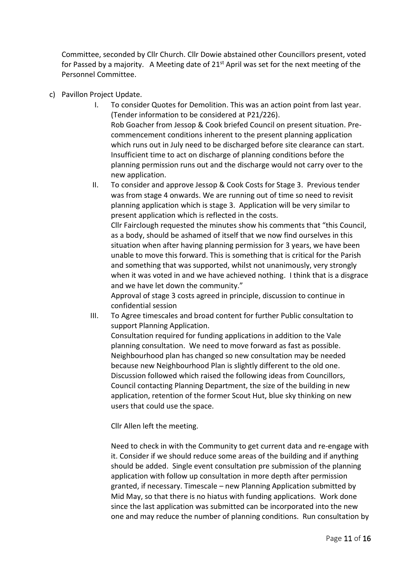Committee, seconded by Cllr Church. Cllr Dowie abstained other Councillors present, voted for Passed by a majority. A Meeting date of  $21<sup>st</sup>$  April was set for the next meeting of the Personnel Committee.

- c) Pavillon Project Update.
	- I. To consider Quotes for Demolition. This was an action point from last year. (Tender information to be considered at P21/226). Rob Goacher from Jessop & Cook briefed Council on present situation. Precommencement conditions inherent to the present planning application which runs out in July need to be discharged before site clearance can start. Insufficient time to act on discharge of planning conditions before the planning permission runs out and the discharge would not carry over to the new application.
	- II. To consider and approve Jessop & Cook Costs for Stage 3. Previous tender was from stage 4 onwards. We are running out of time so need to revisit planning application which is stage 3. Application will be very similar to present application which is reflected in the costs.

Cllr Fairclough requested the minutes show his comments that "this Council, as a body, should be ashamed of itself that we now find ourselves in this situation when after having planning permission for 3 years, we have been unable to move this forward. This is something that is critical for the Parish and something that was supported, whilst not unanimously, very strongly when it was voted in and we have achieved nothing. I think that is a disgrace and we have let down the community."

Approval of stage 3 costs agreed in principle, discussion to continue in confidential session

III. To Agree timescales and broad content for further Public consultation to support Planning Application.

Consultation required for funding applications in addition to the Vale planning consultation. We need to move forward as fast as possible. Neighbourhood plan has changed so new consultation may be needed because new Neighbourhood Plan is slightly different to the old one. Discussion followed which raised the following ideas from Councillors, Council contacting Planning Department, the size of the building in new application, retention of the former Scout Hut, blue sky thinking on new users that could use the space.

Cllr Allen left the meeting.

Need to check in with the Community to get current data and re-engage with it. Consider if we should reduce some areas of the building and if anything should be added. Single event consultation pre submission of the planning application with follow up consultation in more depth after permission granted, if necessary. Timescale – new Planning Application submitted by Mid May, so that there is no hiatus with funding applications. Work done since the last application was submitted can be incorporated into the new one and may reduce the number of planning conditions. Run consultation by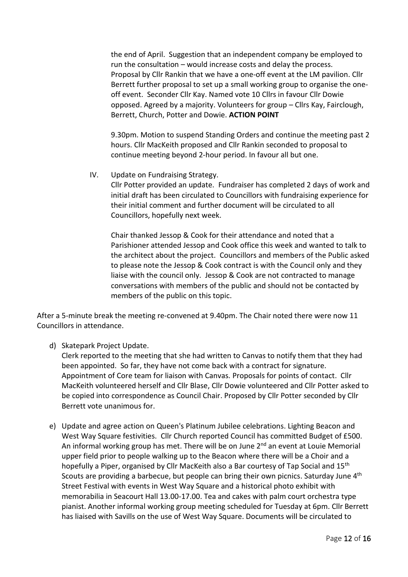the end of April. Suggestion that an independent company be employed to run the consultation – would increase costs and delay the process. Proposal by Cllr Rankin that we have a one-off event at the LM pavilion. Cllr Berrett further proposal to set up a small working group to organise the oneoff event. Seconder Cllr Kay. Named vote 10 Cllrs in favour Cllr Dowie opposed. Agreed by a majority. Volunteers for group – Cllrs Kay, Fairclough, Berrett, Church, Potter and Dowie. **ACTION POINT**

9.30pm. Motion to suspend Standing Orders and continue the meeting past 2 hours. Cllr MacKeith proposed and Cllr Rankin seconded to proposal to continue meeting beyond 2-hour period. In favour all but one.

IV. Update on Fundraising Strategy.

Cllr Potter provided an update. Fundraiser has completed 2 days of work and initial draft has been circulated to Councillors with fundraising experience for their initial comment and further document will be circulated to all Councillors, hopefully next week.

Chair thanked Jessop & Cook for their attendance and noted that a Parishioner attended Jessop and Cook office this week and wanted to talk to the architect about the project. Councillors and members of the Public asked to please note the Jessop & Cook contract is with the Council only and they liaise with the council only. Jessop & Cook are not contracted to manage conversations with members of the public and should not be contacted by members of the public on this topic.

After a 5-minute break the meeting re-convened at 9.40pm. The Chair noted there were now 11 Councillors in attendance.

d) Skatepark Project Update.

Clerk reported to the meeting that she had written to Canvas to notify them that they had been appointed. So far, they have not come back with a contract for signature. Appointment of Core team for liaison with Canvas. Proposals for points of contact. Cllr MacKeith volunteered herself and Cllr Blase, Cllr Dowie volunteered and Cllr Potter asked to be copied into correspondence as Council Chair. Proposed by Cllr Potter seconded by Cllr Berrett vote unanimous for.

e) Update and agree action on Queen's Platinum Jubilee celebrations. Lighting Beacon and West Way Square festivities. Cllr Church reported Council has committed Budget of £500. An informal working group has met. There will be on June  $2<sup>nd</sup>$  an event at Louie Memorial upper field prior to people walking up to the Beacon where there will be a Choir and a hopefully a Piper, organised by Cllr MacKeith also a Bar courtesy of Tap Social and 15<sup>th</sup> Scouts are providing a barbecue, but people can bring their own picnics. Saturday June 4<sup>th</sup> Street Festival with events in West Way Square and a historical photo exhibit with memorabilia in Seacourt Hall 13.00-17.00. Tea and cakes with palm court orchestra type pianist. Another informal working group meeting scheduled for Tuesday at 6pm. Cllr Berrett has liaised with Savills on the use of West Way Square. Documents will be circulated to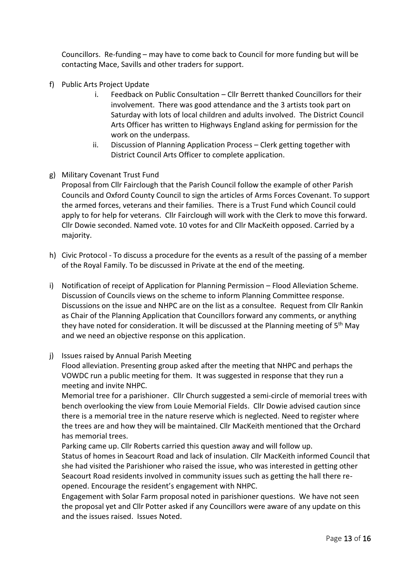Councillors. Re-funding – may have to come back to Council for more funding but will be contacting Mace, Savills and other traders for support.

- f) Public Arts Project Update
	- i. Feedback on Public Consultation Cllr Berrett thanked Councillors for their involvement. There was good attendance and the 3 artists took part on Saturday with lots of local children and adults involved. The District Council Arts Officer has written to Highways England asking for permission for the work on the underpass.
	- ii. Discussion of Planning Application Process Clerk getting together with District Council Arts Officer to complete application.
- g) Military Covenant Trust Fund

Proposal from Cllr Fairclough that the Parish Council follow the example of other Parish Councils and Oxford County Council to sign the articles of Arms Forces Covenant. To support the armed forces, veterans and their families. There is a Trust Fund which Council could apply to for help for veterans. Cllr Fairclough will work with the Clerk to move this forward. Cllr Dowie seconded. Named vote. 10 votes for and Cllr MacKeith opposed. Carried by a majority.

- h) Civic Protocol To discuss a procedure for the events as a result of the passing of a member of the Royal Family. To be discussed in Private at the end of the meeting.
- i) Notification of receipt of Application for Planning Permission Flood Alleviation Scheme. Discussion of Councils views on the scheme to inform Planning Committee response. Discussions on the issue and NHPC are on the list as a consultee. Request from Cllr Rankin as Chair of the Planning Application that Councillors forward any comments, or anything they have noted for consideration. It will be discussed at the Planning meeting of  $5<sup>th</sup>$  May and we need an objective response on this application.
- j) Issues raised by Annual Parish Meeting

Flood alleviation. Presenting group asked after the meeting that NHPC and perhaps the VOWDC run a public meeting for them. It was suggested in response that they run a meeting and invite NHPC.

Memorial tree for a parishioner. Cllr Church suggested a semi-circle of memorial trees with bench overlooking the view from Louie Memorial Fields. Cllr Dowie advised caution since there is a memorial tree in the nature reserve which is neglected. Need to register where the trees are and how they will be maintained. Cllr MacKeith mentioned that the Orchard has memorial trees.

Parking came up. Cllr Roberts carried this question away and will follow up.

Status of homes in Seacourt Road and lack of insulation. Cllr MacKeith informed Council that she had visited the Parishioner who raised the issue, who was interested in getting other Seacourt Road residents involved in community issues such as getting the hall there reopened. Encourage the resident's engagement with NHPC.

Engagement with Solar Farm proposal noted in parishioner questions. We have not seen the proposal yet and Cllr Potter asked if any Councillors were aware of any update on this and the issues raised. Issues Noted.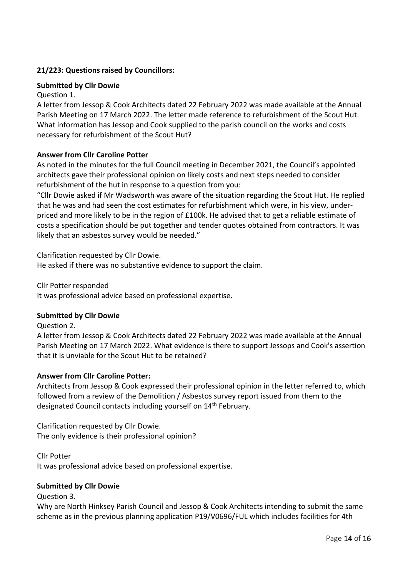# **21/223: Questions raised by Councillors:**

# **Submitted by Cllr Dowie**

# Question 1.

A letter from Jessop & Cook Architects dated 22 February 2022 was made available at the Annual Parish Meeting on 17 March 2022. The letter made reference to refurbishment of the Scout Hut. What information has Jessop and Cook supplied to the parish council on the works and costs necessary for refurbishment of the Scout Hut?

# **Answer from Cllr Caroline Potter**

As noted in the minutes for the full Council meeting in December 2021, the Council's appointed architects gave their professional opinion on likely costs and next steps needed to consider refurbishment of the hut in response to a question from you:

"Cllr Dowie asked if Mr Wadsworth was aware of the situation regarding the Scout Hut. He replied that he was and had seen the cost estimates for refurbishment which were, in his view, underpriced and more likely to be in the region of £100k. He advised that to get a reliable estimate of costs a specification should be put together and tender quotes obtained from contractors. It was likely that an asbestos survey would be needed."

Clarification requested by Cllr Dowie. He asked if there was no substantive evidence to support the claim.

Cllr Potter responded

It was professional advice based on professional expertise.

## **Submitted by Cllr Dowie**

Question 2.

A letter from Jessop & Cook Architects dated 22 February 2022 was made available at the Annual Parish Meeting on 17 March 2022. What evidence is there to support Jessops and Cook's assertion that it is unviable for the Scout Hut to be retained?

## **Answer from Cllr Caroline Potter:**

Architects from Jessop & Cook expressed their professional opinion in the letter referred to, which followed from a review of the Demolition / Asbestos survey report issued from them to the designated Council contacts including yourself on 14th February.

Clarification requested by Cllr Dowie. The only evidence is their professional opinion?

Cllr Potter It was professional advice based on professional expertise.

## **Submitted by Cllr Dowie**

Question 3.

Why are North Hinksey Parish Council and Jessop & Cook Architects intending to submit the same scheme as in the previous planning application P19/V0696/FUL which includes facilities for 4th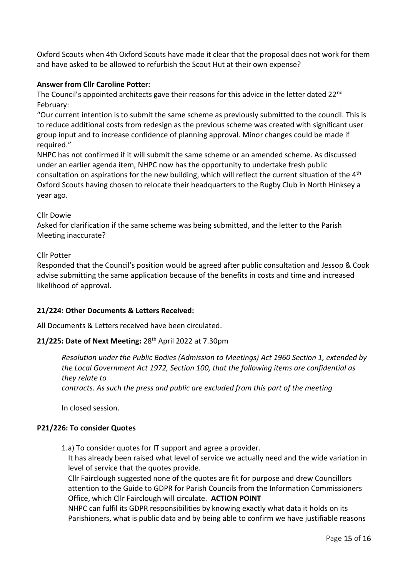Oxford Scouts when 4th Oxford Scouts have made it clear that the proposal does not work for them and have asked to be allowed to refurbish the Scout Hut at their own expense?

# **Answer from Cllr Caroline Potter:**

The Council's appointed architects gave their reasons for this advice in the letter dated 22<sup>nd</sup> February:

"Our current intention is to submit the same scheme as previously submitted to the council. This is to reduce additional costs from redesign as the previous scheme was created with significant user group input and to increase confidence of planning approval. Minor changes could be made if required."

NHPC has not confirmed if it will submit the same scheme or an amended scheme. As discussed under an earlier agenda item, NHPC now has the opportunity to undertake fresh public consultation on aspirations for the new building, which will reflect the current situation of the  $4<sup>th</sup>$ Oxford Scouts having chosen to relocate their headquarters to the Rugby Club in North Hinksey a year ago.

## Cllr Dowie

Asked for clarification if the same scheme was being submitted, and the letter to the Parish Meeting inaccurate?

## Cllr Potter

Responded that the Council's position would be agreed after public consultation and Jessop & Cook advise submitting the same application because of the benefits in costs and time and increased likelihood of approval.

## **21/224: Other Documents & Letters Received:**

All Documents & Letters received have been circulated.

# **21/225: Date of Next Meeting:** 28th April 2022 at 7.30pm

*Resolution under the Public Bodies (Admission to Meetings) Act 1960 Section 1, extended by the Local Government Act 1972, Section 100, that the following items are confidential as they relate to contracts. As such the press and public are excluded from this part of the meeting*

In closed session.

## **P21/226: To consider Quotes**

1.a) To consider quotes for IT support and agree a provider.

It has already been raised what level of service we actually need and the wide variation in level of service that the quotes provide.

Cllr Fairclough suggested none of the quotes are fit for purpose and drew Councillors attention to the Guide to GDPR for Parish Councils from the Information Commissioners Office, which Cllr Fairclough will circulate. **ACTION POINT**

NHPC can fulfil its GDPR responsibilities by knowing exactly what data it holds on its Parishioners, what is public data and by being able to confirm we have justifiable reasons